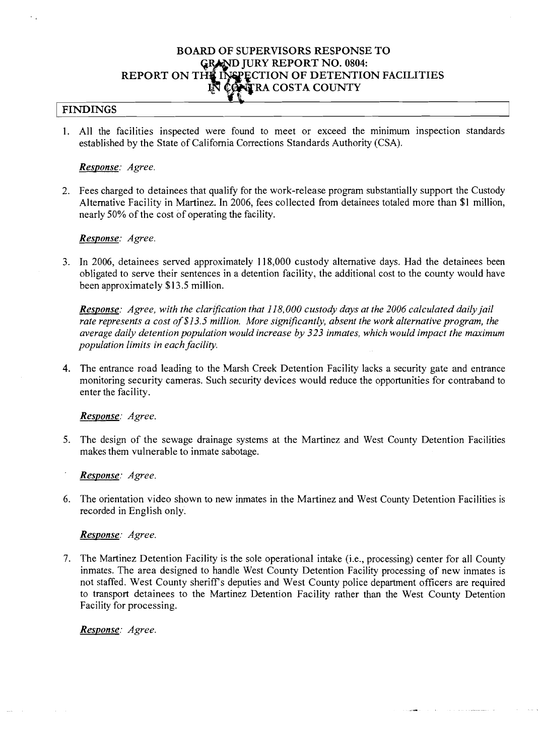# **BOARD OF SUPERVISORS RESPONSE TO RY REPORT NO. 0804: REPORT ON THE INSPECTION OF DETENTION FACILITIES R** CONTRA COSTA COUNTY

## <sup>I</sup>**FINDINGS**

1. All the facilities inspected were found to meet or exceed the minimum inspection standards established by the State of California Corrections Standards Authority (CSA).

#### *Response: Agree.*

2. Fees charged to detainees that qualify for the work-release program substantially support the Custody Alternative Facility in Martinez. In 2006, fees collected from detainees totaled more than \$1 million, nearly 50% of the cost of operating the facility.

## *Response: Agree.*

3. In 2006, detainees served approximately 11 8,000 custody alternative days. Had the detainees been obligated to serve their sentences in a detention facility, the additional cost to the county would have been approximately \$13.5 million.

*Response: Agree, with the clarification that 118,000 custody days at the 2006 calculated daily jail rate represents a cost of \$13.5 million. More signijicantly, absent the work alternative program, the average daily detention population would increase by 323 inmates, which would impact the maximum population limits in each facility.* 

**4.** The entrance road leading to the Marsh Creek Detention Facility lacks a security gate and entrance monitoring security cameras. Such security devices would reduce the opportunities for contraband to enter the facility.

#### *Response: Agree.*

5. The design of the sewage drainage systems at the Martinez and West County Detention Facilities makes them vulnerable to inmate sabotage.

*Response: Agree.* 

6. The orientation video shown to new inmates in the Martinez and West County Detention Facilities is recorded in English only.

#### *Response: Agree.*

7. The Martinez Detention Facility is the sole operational intake (i.e., processing) center for all County inmates. The area designed to handle West County Detention Facility processing of new inmates is not staffed. West County sheriff's deputies and West County police department officers are required to transport detainees to the Martinez Detention Facility rather than the West County Detention Facility for processing.

*Response: Agree.*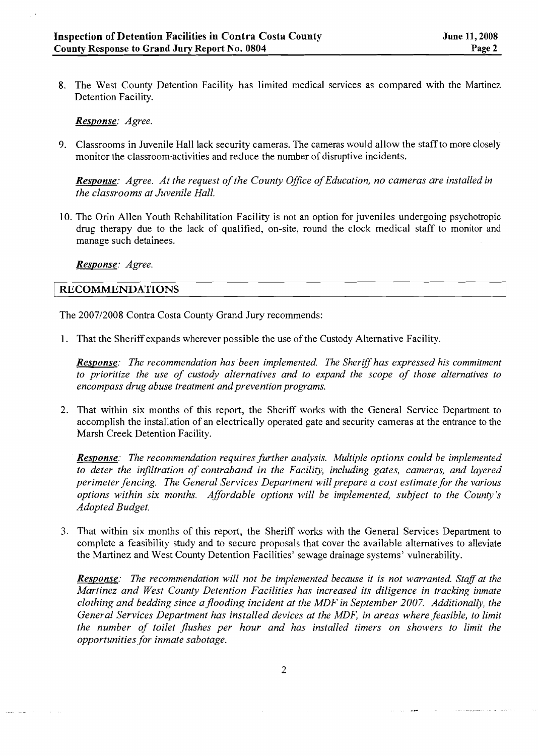8. The West County Detention Facility has limited medical services as compared with the Martinez Detention Facility.

*Response: Agree.* 

9. Classrooms in Juvenile Hall lack security cameras. The cameras would allow the staff to more closely monitor the classroom activities and reduce the number of disruptive incidents.

*Response: Agree. At the request of the County Office of Education, no cameras are installed in the classrooms at Juvenile Hall.* 

10. The Orin Allen Youth Rehabilitation Facility is not an option for juveniles undergoing psychotropic drug therapy due to the lack of qualified, on-site, round the clock medical staff to monitor and manage such detainees.

*Response: Agree.* 

## **RECOMMENDATIONS**

The 2007/2008 Contra Costa County Grand Jury recommends:

1. That the Sheriff expands wherever possible the use of the Custody Alternative Facility.

*Response: The recommendation has'been implemented. The Sheriff has expressed his commitment to prioritize the use of custody alternatives and to expand the scope of those alternatives to encompass drug abuse treatment and prevention programs.* 

2. That within six months of this report, the Sheriff works with the General Service Department to accomplish the installation of an electrically operated gate and security cameras at the entrance to the Marsh Creek Detention Facility.

*Response: The recommendation requires further analysis. Multiple options could be implemented to deter the infiltration of contraband in the Facility, including gates, cameras, and layered perimeter fencing. The General Services Department will prepare a cost estimate for the various options within six months. Affordable options will be implemented, subject to the County's Adopted Budget.* 

3. That within six months of this report, the Sheriff works with the General Services Department to complete a feasibility study and to secure proposals that cover the available alternatives to alleviate the Martinez and West County Detention Facilities' sewage drainage systems' vulnerability.

*Response:* The recommendation will not be implemented because it is not warranted. Staff at the *Martinez and West County Detention Facilities has increased its diligence in tracking inmate clothing and bedding since ajlooding incident at the MDF in September 2007. Additionally, the General Services Department has installed devices at the MDF, in areas where feasible, to limit the number of toilet jlushes per hour and has installed timers on showers to limit the opportunities for inmate sabotage.*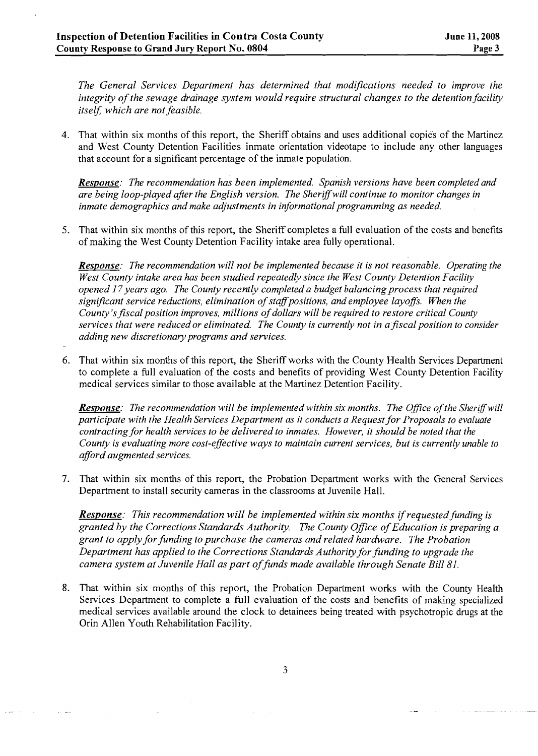*The General Services Department has determined that modifications needed to improve the integrity of the sewage drainage system would require structural changes to the detention facility itself.* which are not feasible.

4. That within six months of this report, the Sheriff obtains and uses additional copies of the Martinez and West County Detention Facilities inmate orientation videotape to include any other languages that account for a significant percentage of the inmate population.

*Response: The recommendation has been implemented. Spanish versions have been completed and are being loop-played after the English version. The Shertffwill continue to monitor changes in inmate demographics and make adjustments in informational programming as needed.* 

5. That within six months of this report, the Sheriff completes a full evaluation of the costs and benefits of making the West County Detention Facility intake area fully operational.

*Response: The recommendation will not be implemented because it is not reasonable. Operating the West County intake area has been studied repeatedly since the West County Detention Facility opened 17 years ago. The County recently completed a budget balancing process that required significant service reductions, elimination of staflpositions, and employee layofls. When the County 'sfiscal position improves, millions of dollars will be required to restore critical County services that were reduced or eliminated. The County is currently not in afiscal position to consider adding new discretionary programs and services.* 

6. That within six months of this report, the Sheriff works with the County Health Services Department to complete a full evaluation of the costs and benefits of providing West County Detention Facility medical services similar to those available at the Martinez Detention Facility.

*Response: The recommendation will be implemented within six months. The Office of the Sheriff will participate with the Health Services Department as it conducts a Request for Proposals to evaluate contracting for health services to be delivered to inmates. However, it should be noted that the County is evaluating more cost-effective ways to maintain current services, but is currently unable to aflord augmented services.* 

7. That within six months of this report, the Probation Department works with the General Services Department to install security cameras in the classrooms at Juvenile Hall.

*Response: This recommendation will be implemented within six months if requested funding is granted by the Corrections Standards Authority. The County Ofice of Education is preparing a grant to apply for funding to purchase the cameras and related hardware. The Probation Department has applied to the Corrections Standards Authority for funding to upgrade the camera system at Juvenile Hall as part of funds made available through Senate Bill 81.* 

8. That within six months of this report, the Probation Department works with the County Health Services Department to complete a full evaluation of the costs and benefits of making specialized medical services available around the clock to detainees being treated with psychotropic drugs at the Orin Allen Youth Rehabilitation Facility.